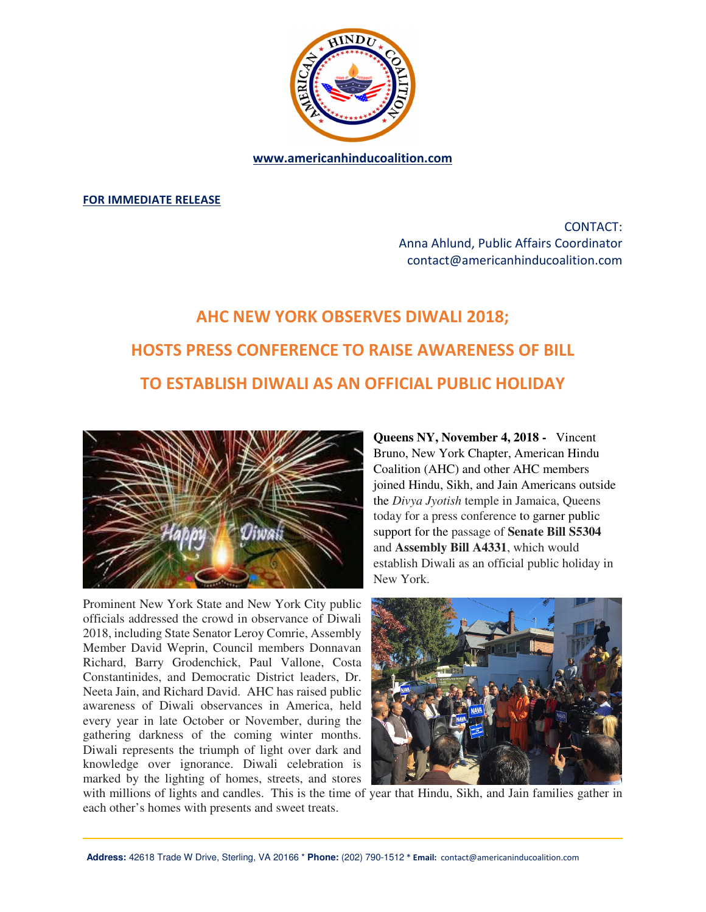

**www.americanhinducoalition.com** 

**FOR IMMEDIATE RELEASE** 

CONTACT: Anna Ahlund, Public Affairs Coordinator contact@americanhinducoalition.com

## **AHC NEW YORK OBSERVES DIWALI 2018; HOSTS PRESS CONFERENCE TO RAISE AWARENESS OF BILL TO ESTABLISH DIWALI AS AN OFFICIAL PUBLIC HOLIDAY**



Prominent New York State and New York City public officials addressed the crowd in observance of Diwali 2018, including State Senator Leroy Comrie, Assembly Member David Weprin, Council members Donnavan Richard, Barry Grodenchick, Paul Vallone, Costa Constantinides, and Democratic District leaders, Dr. Neeta Jain, and Richard David. AHC has raised public awareness of Diwali observances in America, held every year in late October or November, during the gathering darkness of the coming winter months. Diwali represents the triumph of light over dark and knowledge over ignorance. Diwali celebration is marked by the lighting of homes, streets, and stores

**Queens NY, November 4, 2018 -** Vincent Bruno, New York Chapter, American Hindu Coalition (AHC) and other AHC members joined Hindu, Sikh, and Jain Americans outside the *Divya Jyotish* temple in Jamaica, Queens today for a press conference to garner public support for the passage of **Senate Bill S5304** and **Assembly Bill A4331**, which would establish Diwali as an official public holiday in New York.



with millions of lights and candles. This is the time of year that Hindu, Sikh, and Jain families gather in each other's homes with presents and sweet treats.